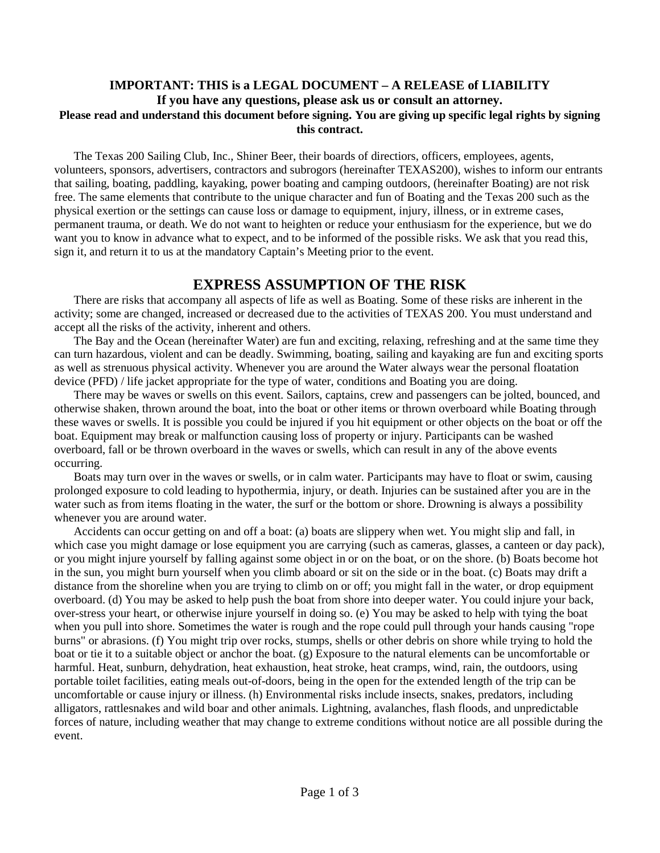### **IMPORTANT: THIS is a LEGAL DOCUMENT – A RELEASE of LIABILITY If you have any questions, please ask us or consult an attorney. Please read and understand this document before signing. You are giving up specific legal rights by signing this contract.**

The Texas 200 Sailing Club, Inc., Shiner Beer, their boards of directiors, officers, employees, agents, volunteers, sponsors, advertisers, contractors and subrogors (hereinafter TEXAS200), wishes to inform our entrants that sailing, boating, paddling, kayaking, power boating and camping outdoors, (hereinafter Boating) are not risk free. The same elements that contribute to the unique character and fun of Boating and the Texas 200 such as the physical exertion or the settings can cause loss or damage to equipment, injury, illness, or in extreme cases, permanent trauma, or death. We do not want to heighten or reduce your enthusiasm for the experience, but we do want you to know in advance what to expect, and to be informed of the possible risks. We ask that you read this, sign it, and return it to us at the mandatory Captain's Meeting prior to the event.

# **EXPRESS ASSUMPTION OF THE RISK**

There are risks that accompany all aspects of life as well as Boating. Some of these risks are inherent in the activity; some are changed, increased or decreased due to the activities of TEXAS 200. You must understand and accept all the risks of the activity, inherent and others.

The Bay and the Ocean (hereinafter Water) are fun and exciting, relaxing, refreshing and at the same time they can turn hazardous, violent and can be deadly. Swimming, boating, sailing and kayaking are fun and exciting sports as well as strenuous physical activity. Whenever you are around the Water always wear the personal floatation device (PFD) / life jacket appropriate for the type of water, conditions and Boating you are doing.

There may be waves or swells on this event. Sailors, captains, crew and passengers can be jolted, bounced, and otherwise shaken, thrown around the boat, into the boat or other items or thrown overboard while Boating through these waves or swells. It is possible you could be injured if you hit equipment or other objects on the boat or off the boat. Equipment may break or malfunction causing loss of property or injury. Participants can be washed overboard, fall or be thrown overboard in the waves or swells, which can result in any of the above events occurring.

Boats may turn over in the waves or swells, or in calm water. Participants may have to float or swim, causing prolonged exposure to cold leading to hypothermia, injury, or death. Injuries can be sustained after you are in the water such as from items floating in the water, the surf or the bottom or shore. Drowning is always a possibility whenever you are around water.

Accidents can occur getting on and off a boat: (a) boats are slippery when wet. You might slip and fall, in which case you might damage or lose equipment you are carrying (such as cameras, glasses, a canteen or day pack), or you might injure yourself by falling against some object in or on the boat, or on the shore. (b) Boats become hot in the sun, you might burn yourself when you climb aboard or sit on the side or in the boat. (c) Boats may drift a distance from the shoreline when you are trying to climb on or off; you might fall in the water, or drop equipment overboard. (d) You may be asked to help push the boat from shore into deeper water. You could injure your back, over-stress your heart, or otherwise injure yourself in doing so. (e) You may be asked to help with tying the boat when you pull into shore. Sometimes the water is rough and the rope could pull through your hands causing "rope burns" or abrasions. (f) You might trip over rocks, stumps, shells or other debris on shore while trying to hold the boat or tie it to a suitable object or anchor the boat. (g) Exposure to the natural elements can be uncomfortable or harmful. Heat, sunburn, dehydration, heat exhaustion, heat stroke, heat cramps, wind, rain, the outdoors, using portable toilet facilities, eating meals out-of-doors, being in the open for the extended length of the trip can be uncomfortable or cause injury or illness. (h) Environmental risks include insects, snakes, predators, including alligators, rattlesnakes and wild boar and other animals. Lightning, avalanches, flash floods, and unpredictable forces of nature, including weather that may change to extreme conditions without notice are all possible during the event.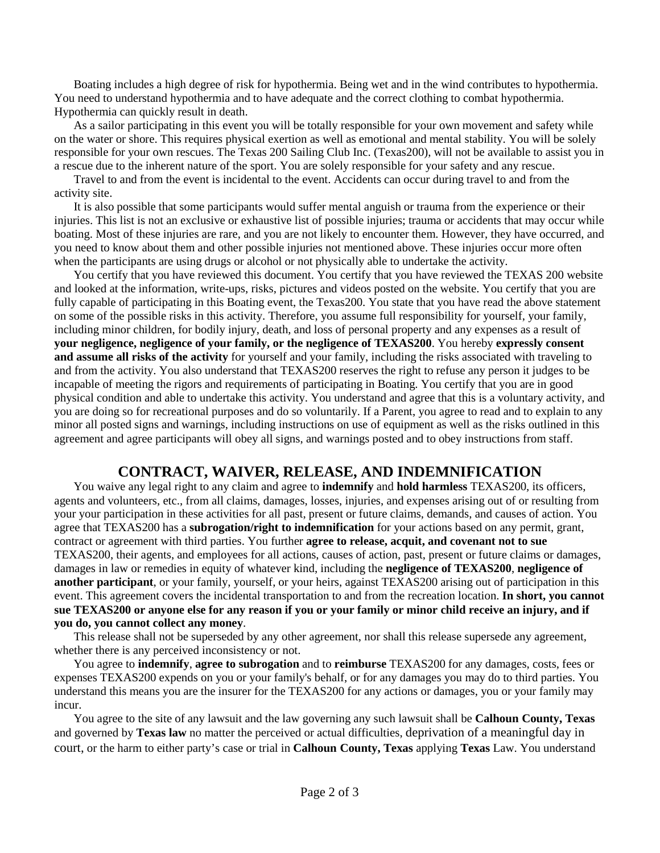Boating includes a high degree of risk for hypothermia. Being wet and in the wind contributes to hypothermia. You need to understand hypothermia and to have adequate and the correct clothing to combat hypothermia. Hypothermia can quickly result in death.

As a sailor participating in this event you will be totally responsible for your own movement and safety while on the water or shore. This requires physical exertion as well as emotional and mental stability. You will be solely responsible for your own rescues. The Texas 200 Sailing Club Inc. (Texas200), will not be available to assist you in a rescue due to the inherent nature of the sport. You are solely responsible for your safety and any rescue.

Travel to and from the event is incidental to the event. Accidents can occur during travel to and from the activity site.

It is also possible that some participants would suffer mental anguish or trauma from the experience or their injuries. This list is not an exclusive or exhaustive list of possible injuries; trauma or accidents that may occur while boating. Most of these injuries are rare, and you are not likely to encounter them. However, they have occurred, and you need to know about them and other possible injuries not mentioned above. These injuries occur more often when the participants are using drugs or alcohol or not physically able to undertake the activity.

You certify that you have reviewed this document. You certify that you have reviewed the TEXAS 200 website and looked at the information, write-ups, risks, pictures and videos posted on the website. You certify that you are fully capable of participating in this Boating event, the Texas200. You state that you have read the above statement on some of the possible risks in this activity. Therefore, you assume full responsibility for yourself, your family, including minor children, for bodily injury, death, and loss of personal property and any expenses as a result of **your negligence, negligence of your family, or the negligence of TEXAS200**. You hereby **expressly consent and assume all risks of the activity** for yourself and your family, including the risks associated with traveling to and from the activity. You also understand that TEXAS200 reserves the right to refuse any person it judges to be incapable of meeting the rigors and requirements of participating in Boating. You certify that you are in good physical condition and able to undertake this activity. You understand and agree that this is a voluntary activity, and you are doing so for recreational purposes and do so voluntarily. If a Parent, you agree to read and to explain to any minor all posted signs and warnings, including instructions on use of equipment as well as the risks outlined in this agreement and agree participants will obey all signs, and warnings posted and to obey instructions from staff.

# **CONTRACT, WAIVER, RELEASE, AND INDEMNIFICATION**

You waive any legal right to any claim and agree to **indemnify** and **hold harmless** TEXAS200, its officers, agents and volunteers, etc., from all claims, damages, losses, injuries, and expenses arising out of or resulting from your your participation in these activities for all past, present or future claims, demands, and causes of action. You agree that TEXAS200 has a **subrogation/right to indemnification** for your actions based on any permit, grant, contract or agreement with third parties. You further **agree to release, acquit, and covenant not to sue** TEXAS200, their agents, and employees for all actions, causes of action, past, present or future claims or damages, damages in law or remedies in equity of whatever kind, including the **negligence of TEXAS200**, **negligence of another participant**, or your family, yourself, or your heirs, against TEXAS200 arising out of participation in this event. This agreement covers the incidental transportation to and from the recreation location. **In short, you cannot sue TEXAS200 or anyone else for any reason if you or your family or minor child receive an injury, and if you do, you cannot collect any money**.

This release shall not be superseded by any other agreement, nor shall this release supersede any agreement, whether there is any perceived inconsistency or not.

You agree to **indemnify**, **agree to subrogation** and to **reimburse** TEXAS200 for any damages, costs, fees or expenses TEXAS200 expends on you or your family's behalf, or for any damages you may do to third parties. You understand this means you are the insurer for the TEXAS200 for any actions or damages, you or your family may incur.

You agree to the site of any lawsuit and the law governing any such lawsuit shall be **Calhoun County, Texas**  and governed by **Texas law** no matter the perceived or actual difficulties, deprivation of a meaningful day in court, or the harm to either party's case or trial in **Calhoun County, Texas** applying **Texas** Law. You understand